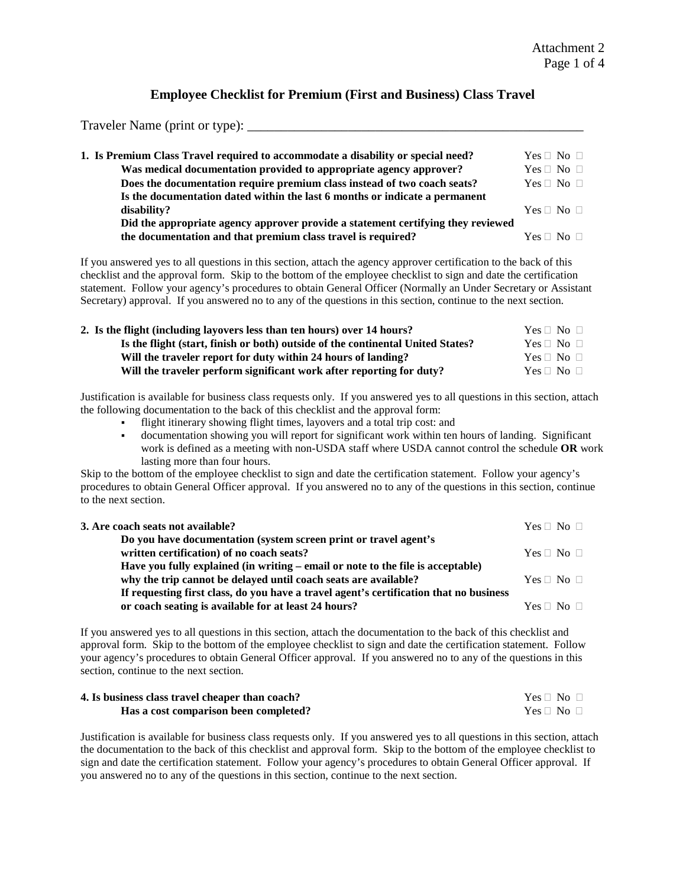### **Employee Checklist for Premium (First and Business) Class Travel**

Traveler Name (print or type): \_\_\_\_\_\_\_\_\_\_\_\_\_\_\_\_\_\_\_\_\_\_\_\_\_\_\_\_\_\_\_\_\_\_\_\_\_\_\_\_\_\_\_\_\_\_\_\_\_\_

| 1. Is Premium Class Travel required to accommodate a disability or special need? | $Yes \Box No \Box$     |
|----------------------------------------------------------------------------------|------------------------|
| Was medical documentation provided to appropriate agency approver?               | $Yes \Box No \Box$     |
| Does the documentation require premium class instead of two coach seats?         | $Yes \sqcap No \sqcap$ |
| Is the documentation dated within the last 6 months or indicate a permanent      |                        |
| disability?                                                                      | $Yes \sqcap No \sqcap$ |
| Did the appropriate agency approver provide a statement certifying they reviewed |                        |
| the documentation and that premium class travel is required?                     | $Yes \sqcap No \sqcap$ |
|                                                                                  |                        |

If you answered yes to all questions in this section, attach the agency approver certification to the back of this checklist and the approval form. Skip to the bottom of the employee checklist to sign and date the certification statement. Follow your agency's procedures to obtain General Officer (Normally an Under Secretary or Assistant Secretary) approval. If you answered no to any of the questions in this section, continue to the next section.

| 2. Is the flight (including layovers less than ten hours) over 14 hours?        | $Yes \sqcap No \sqcap$ |
|---------------------------------------------------------------------------------|------------------------|
| Is the flight (start, finish or both) outside of the continental United States? | $Yes \sqcap No \sqcap$ |
| Will the traveler report for duty within 24 hours of landing?                   | $Yes \sqcap No \sqcap$ |
| Will the traveler perform significant work after reporting for duty?            | $Yes \sqcap No \sqcap$ |

Justification is available for business class requests only. If you answered yes to all questions in this section, attach the following documentation to the back of this checklist and the approval form:

- flight itinerary showing flight times, layovers and a total trip cost: and
- documentation showing you will report for significant work within ten hours of landing. Significant work is defined as a meeting with non-USDA staff where USDA cannot control the schedule **OR** work lasting more than four hours.

Skip to the bottom of the employee checklist to sign and date the certification statement. Follow your agency's procedures to obtain General Officer approval. If you answered no to any of the questions in this section, continue to the next section.

| 3. Are coach seats not available?                                                      | $Yes \sqcap No \sqcap$ |
|----------------------------------------------------------------------------------------|------------------------|
| Do you have documentation (system screen print or travel agent's                       |                        |
| written certification) of no coach seats?                                              | $Yes \sqcap No \sqcap$ |
| Have you fully explained (in writing – email or note to the file is acceptable)        |                        |
| why the trip cannot be delayed until coach seats are available?                        | $Yes \sqcap No \sqcap$ |
| If requesting first class, do you have a travel agent's certification that no business |                        |
| or coach seating is available for at least 24 hours?                                   | $Yes \sqcap No \sqcap$ |

If you answered yes to all questions in this section, attach the documentation to the back of this checklist and approval form. Skip to the bottom of the employee checklist to sign and date the certification statement. Follow your agency's procedures to obtain General Officer approval. If you answered no to any of the questions in this section, continue to the next section.

| 4. Is business class travel cheaper than coach? | $Yes \sqcap No \sqcap$ |
|-------------------------------------------------|------------------------|
| Has a cost comparison been completed?           | $Yes \sqcap No \sqcap$ |

Justification is available for business class requests only. If you answered yes to all questions in this section, attach the documentation to the back of this checklist and approval form. Skip to the bottom of the employee checklist to sign and date the certification statement. Follow your agency's procedures to obtain General Officer approval. If you answered no to any of the questions in this section, continue to the next section.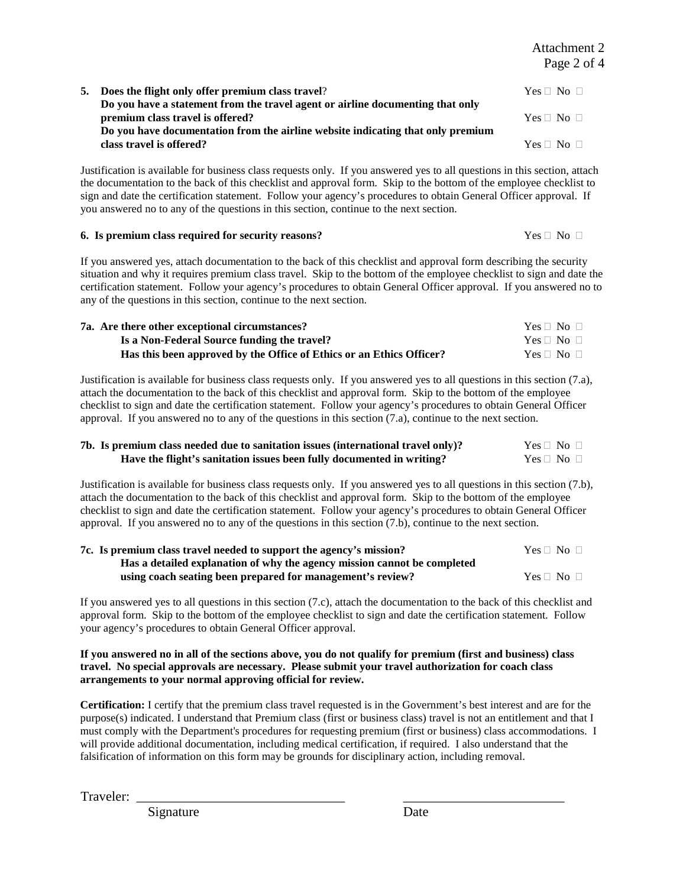Attachment 2 Page 2 of 4

| 5. Does the flight only offer premium class travel?<br>Do you have a statement from the travel agent or airline documenting that only | $Yes \sqcap No \sqcap$ |
|---------------------------------------------------------------------------------------------------------------------------------------|------------------------|
| premium class travel is offered?                                                                                                      | $Yes \sqcap No \sqcap$ |
| Do you have documentation from the airline website indicating that only premium<br>class travel is offered?                           | $Yes \sqcap No \sqcap$ |

Justification is available for business class requests only. If you answered yes to all questions in this section, attach the documentation to the back of this checklist and approval form. Skip to the bottom of the employee checklist to sign and date the certification statement. Follow your agency's procedures to obtain General Officer approval. If you answered no to any of the questions in this section, continue to the next section.

#### **6. Is premium class required for security reasons?**  $Yes \Box No \Box$

If you answered yes, attach documentation to the back of this checklist and approval form describing the security situation and why it requires premium class travel. Skip to the bottom of the employee checklist to sign and date the certification statement. Follow your agency's procedures to obtain General Officer approval. If you answered no to any of the questions in this section, continue to the next section.

| 7a. Are there other exceptional circumstances?                       | $Yes \sqcap No \sqcap$ |
|----------------------------------------------------------------------|------------------------|
| Is a Non-Federal Source funding the travel?                          | $Yes \sqcap No \sqcap$ |
| Has this been approved by the Office of Ethics or an Ethics Officer? | $Yes \sqcap No \sqcap$ |

Justification is available for business class requests only. If you answered yes to all questions in this section (7.a), attach the documentation to the back of this checklist and approval form. Skip to the bottom of the employee checklist to sign and date the certification statement. Follow your agency's procedures to obtain General Officer approval. If you answered no to any of the questions in this section (7.a), continue to the next section.

| 7b. Is premium class needed due to sanitation issues (international travel only)? | $Yes \sqcap No \sqcap$ |
|-----------------------------------------------------------------------------------|------------------------|
| Have the flight's sanitation issues been fully documented in writing?             | $Yes \sqcap No \sqcap$ |

Justification is available for business class requests only. If you answered yes to all questions in this section (7.b), attach the documentation to the back of this checklist and approval form. Skip to the bottom of the employee checklist to sign and date the certification statement. Follow your agency's procedures to obtain General Officer approval. If you answered no to any of the questions in this section (7.b), continue to the next section.

| 7c. Is premium class travel needed to support the agency's mission?      | $Yes \Box No \Box$     |
|--------------------------------------------------------------------------|------------------------|
| Has a detailed explanation of why the agency mission cannot be completed |                        |
| using coach seating been prepared for management's review?               | $Yes \sqcap No \sqcap$ |

If you answered yes to all questions in this section (7.c), attach the documentation to the back of this checklist and approval form. Skip to the bottom of the employee checklist to sign and date the certification statement. Follow your agency's procedures to obtain General Officer approval.

#### **If you answered no in all of the sections above, you do not qualify for premium (first and business) class travel. No special approvals are necessary. Please submit your travel authorization for coach class arrangements to your normal approving official for review.**

**Certification:** I certify that the premium class travel requested is in the Government's best interest and are for the purpose(s) indicated. I understand that Premium class (first or business class) travel is not an entitlement and that I must comply with the Department's procedures for requesting premium (first or business) class accommodations. I will provide additional documentation, including medical certification, if required. I also understand that the falsification of information on this form may be grounds for disciplinary action, including removal.

Traveler: \_\_\_\_\_\_\_\_\_\_\_\_\_\_\_\_\_\_\_\_\_\_\_\_\_\_\_\_\_\_\_ \_\_\_\_\_\_\_\_\_\_\_\_\_\_\_\_\_\_\_\_\_\_\_\_

Signature Date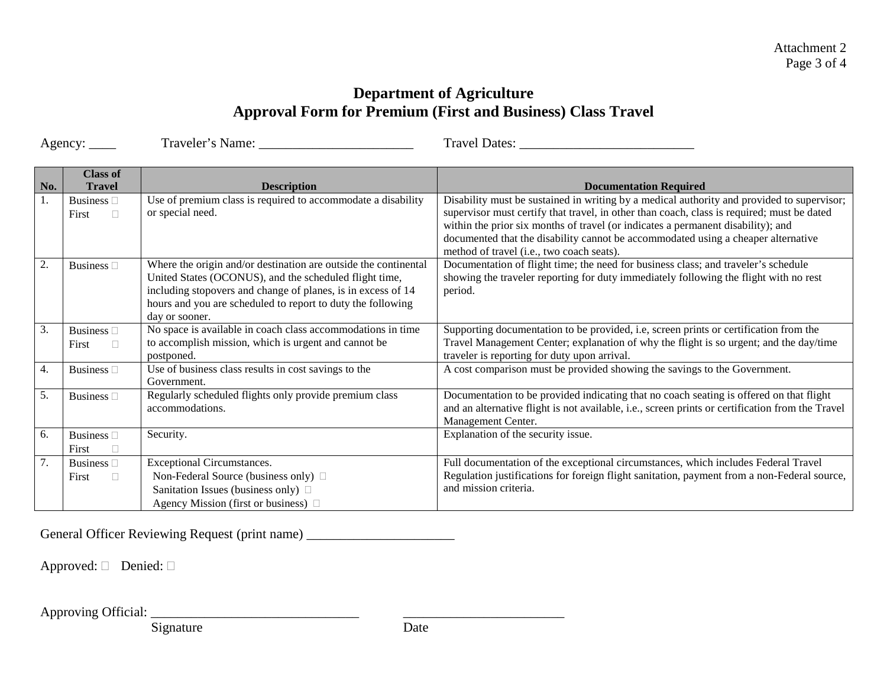# **Department of Agriculture Approval Form for Premium (First and Business) Class Travel**

Agency: \_\_\_\_ Traveler's Name: \_\_\_\_\_\_\_\_\_\_\_\_\_\_\_\_\_\_\_\_\_\_\_ Travel Dates: \_\_\_\_\_\_\_\_\_\_\_\_\_\_\_\_\_\_\_\_\_\_\_\_\_\_

|                  | <b>Class of</b>    |                                                                 |                                                                                                  |
|------------------|--------------------|-----------------------------------------------------------------|--------------------------------------------------------------------------------------------------|
| No.              | <b>Travel</b>      | <b>Description</b>                                              | <b>Documentation Required</b>                                                                    |
| 1.               | Business $\Box$    | Use of premium class is required to accommodate a disability    | Disability must be sustained in writing by a medical authority and provided to supervisor;       |
|                  | $\Box$<br>First    | or special need.                                                | supervisor must certify that travel, in other than coach, class is required; must be dated       |
|                  |                    |                                                                 | within the prior six months of travel (or indicates a permanent disability); and                 |
|                  |                    |                                                                 | documented that the disability cannot be accommodated using a cheaper alternative                |
|                  |                    |                                                                 | method of travel (i.e., two coach seats).                                                        |
| 2.               | Business $\square$ | Where the origin and/or destination are outside the continental | Documentation of flight time; the need for business class; and traveler's schedule               |
|                  |                    | United States (OCONUS), and the scheduled flight time,          | showing the traveler reporting for duty immediately following the flight with no rest            |
|                  |                    | including stopovers and change of planes, is in excess of 14    | period.                                                                                          |
|                  |                    | hours and you are scheduled to report to duty the following     |                                                                                                  |
|                  |                    | day or sooner.                                                  |                                                                                                  |
| 3.               | Business $\square$ | No space is available in coach class accommodations in time     | Supporting documentation to be provided, i.e, screen prints or certification from the            |
|                  | First<br>П         | to accomplish mission, which is urgent and cannot be            | Travel Management Center; explanation of why the flight is so urgent; and the day/time           |
|                  |                    | postponed.                                                      | traveler is reporting for duty upon arrival.                                                     |
| 4.               | Business $\square$ | Use of business class results in cost savings to the            | A cost comparison must be provided showing the savings to the Government.                        |
|                  |                    | Government.                                                     |                                                                                                  |
| 5.               | Business $\square$ | Regularly scheduled flights only provide premium class          | Documentation to be provided indicating that no coach seating is offered on that flight          |
|                  |                    | accommodations.                                                 | and an alternative flight is not available, i.e., screen prints or certification from the Travel |
|                  |                    |                                                                 | Management Center.                                                                               |
| 6.               | Business $\square$ | Security.                                                       | Explanation of the security issue.                                                               |
|                  | First              |                                                                 |                                                                                                  |
| $\overline{7}$ . | Business $\Box$    | Exceptional Circumstances.                                      | Full documentation of the exceptional circumstances, which includes Federal Travel               |
|                  | First<br>П         | Non-Federal Source (business only) □                            | Regulation justifications for foreign flight sanitation, payment from a non-Federal source,      |
|                  |                    | Sanitation Issues (business only) $\Box$                        | and mission criteria.                                                                            |
|                  |                    | Agency Mission (first or business) $\Box$                       |                                                                                                  |

General Officer Reviewing Request (print name) \_\_\_\_\_\_\_\_\_\_\_\_\_\_\_\_\_\_\_\_\_\_\_\_\_\_\_\_\_\_\_\_\_

Approved:  $\Box$  Denied:  $\Box$ 

Approving Official: \_\_\_\_\_\_\_\_\_\_\_\_\_\_\_\_\_\_\_\_\_\_\_\_\_\_\_\_\_\_\_ \_\_\_\_\_\_\_\_\_\_\_\_\_\_\_\_\_\_\_\_\_\_\_\_

Signature Date